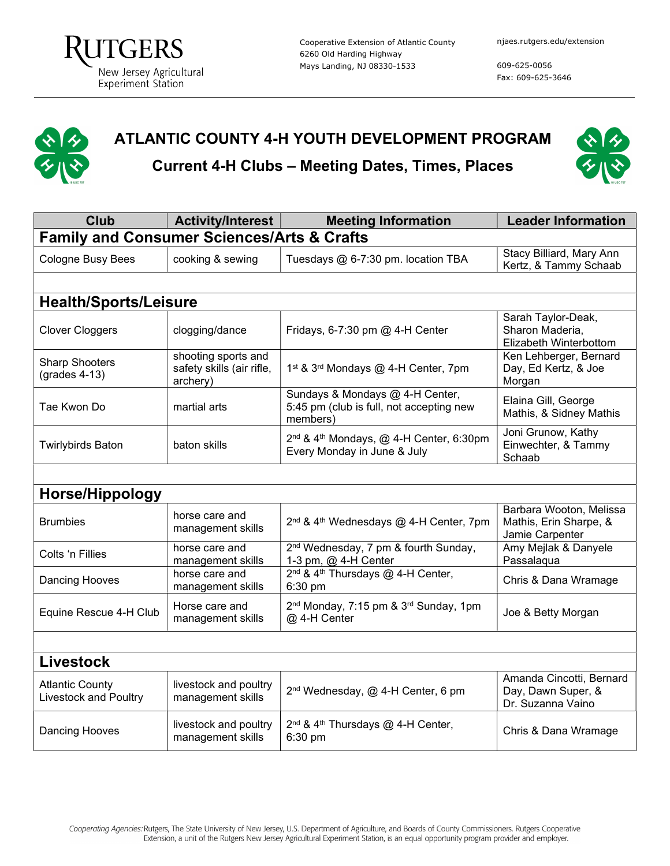609-625-0056 Fax: 609-625-3646

## ATLANTIC COUNTY 4-H YOUTH DEVELOPMENT PROGRAM

Current 4-H Clubs – Meeting Dates, Times, Places



| <b>Club</b>                                            | <b>Activity/Interest</b>                                     | <b>Meeting Information</b>                                                                     | <b>Leader Information</b>                                            |  |  |
|--------------------------------------------------------|--------------------------------------------------------------|------------------------------------------------------------------------------------------------|----------------------------------------------------------------------|--|--|
| <b>Family and Consumer Sciences/Arts &amp; Crafts</b>  |                                                              |                                                                                                |                                                                      |  |  |
| Cologne Busy Bees                                      | cooking & sewing                                             | Tuesdays @ 6-7:30 pm. location TBA                                                             | Stacy Billiard, Mary Ann<br>Kertz, & Tammy Schaab                    |  |  |
|                                                        |                                                              |                                                                                                |                                                                      |  |  |
| <b>Health/Sports/Leisure</b>                           |                                                              |                                                                                                |                                                                      |  |  |
| <b>Clover Cloggers</b>                                 | clogging/dance                                               | Fridays, 6-7:30 pm @ 4-H Center                                                                | Sarah Taylor-Deak,<br>Sharon Maderia,<br>Elizabeth Winterbottom      |  |  |
| <b>Sharp Shooters</b><br>$(grades 4-13)$               | shooting sports and<br>safety skills (air rifle,<br>archery) | 1 <sup>st</sup> & 3 <sup>rd</sup> Mondays @ 4-H Center, 7pm                                    | Ken Lehberger, Bernard<br>Day, Ed Kertz, & Joe<br>Morgan             |  |  |
| Tae Kwon Do                                            | martial arts                                                 | Sundays & Mondays @ 4-H Center,<br>5:45 pm (club is full, not accepting new<br>members)        | Elaina Gill, George<br>Mathis, & Sidney Mathis                       |  |  |
| <b>Twirlybirds Baton</b>                               | baton skills                                                 | 2 <sup>nd</sup> & 4 <sup>th</sup> Mondays, @ 4-H Center, 6:30pm<br>Every Monday in June & July | Joni Grunow, Kathy<br>Einwechter, & Tammy<br>Schaab                  |  |  |
|                                                        |                                                              |                                                                                                |                                                                      |  |  |
| <b>Horse/Hippology</b>                                 |                                                              |                                                                                                |                                                                      |  |  |
| <b>Brumbies</b>                                        | horse care and<br>management skills                          | 2 <sup>nd</sup> & 4 <sup>th</sup> Wednesdays @ 4-H Center, 7pm                                 | Barbara Wooton, Melissa<br>Mathis, Erin Sharpe, &<br>Jamie Carpenter |  |  |
| Colts 'n Fillies                                       | horse care and<br>management skills                          | 2 <sup>nd</sup> Wednesday, 7 pm & fourth Sunday,<br>1-3 pm, @ 4-H Center                       | Amy Mejlak & Danyele<br>Passalaqua                                   |  |  |
| Dancing Hooves                                         | horse care and<br>management skills                          | 2 <sup>nd</sup> & 4 <sup>th</sup> Thursdays @ 4-H Center,<br>6:30 pm                           | Chris & Dana Wramage                                                 |  |  |
| Equine Rescue 4-H Club                                 | Horse care and<br>management skills                          | 2 <sup>nd</sup> Monday, 7:15 pm & 3 <sup>rd</sup> Sunday, 1pm<br>@ 4-H Center                  | Joe & Betty Morgan                                                   |  |  |
|                                                        |                                                              |                                                                                                |                                                                      |  |  |
| <b>Livestock</b>                                       |                                                              |                                                                                                |                                                                      |  |  |
| <b>Atlantic County</b><br><b>Livestock and Poultry</b> | livestock and poultry<br>management skills                   | 2 <sup>nd</sup> Wednesday, @ 4-H Center, 6 pm                                                  | Amanda Cincotti, Bernard<br>Day, Dawn Super, &<br>Dr. Suzanna Vaino  |  |  |
| Dancing Hooves                                         | livestock and poultry<br>management skills                   | 2 <sup>nd</sup> & 4 <sup>th</sup> Thursdays @ 4-H Center,<br>6:30 pm                           | Chris & Dana Wramage                                                 |  |  |